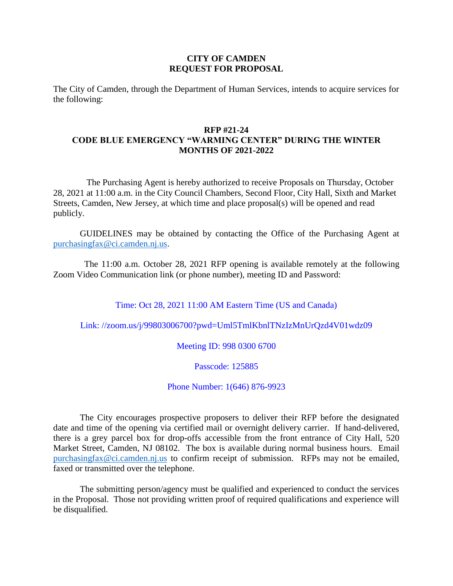## **CITY OF CAMDEN REQUEST FOR PROPOSAL**

The City of Camden, through the Department of Human Services, intends to acquire services for the following:

## **RFP #21-24 CODE BLUE EMERGENCY "WARMING CENTER" DURING THE WINTER MONTHS OF 2021-2022**

The Purchasing Agent is hereby authorized to receive Proposals on Thursday, October 28, 2021 at 11:00 a.m. in the City Council Chambers, Second Floor, City Hall, Sixth and Market Streets, Camden, New Jersey, at which time and place proposal(s) will be opened and read publicly.

GUIDELINES may be obtained by contacting the Office of the Purchasing Agent at [purchasingfax@ci.camden.nj.us.](mailto:purchasingfax@ci.camden.nj.us)

 The 11:00 a.m. October 28, 2021 RFP opening is available remotely at the following Zoom Video Communication link (or phone number), meeting ID and Password:

Time: Oct 28, 2021 11:00 AM Eastern Time (US and Canada)

Link: //zoom.us/j/99803006700?pwd=Uml5TmlKbnlTNzIzMnUrQzd4V01wdz09

Meeting ID: 998 0300 6700

Passcode: 125885

Phone Number: 1(646) 876-9923

The City encourages prospective proposers to deliver their RFP before the designated date and time of the opening via certified mail or overnight delivery carrier. If hand-delivered, there is a grey parcel box for drop-offs accessible from the front entrance of City Hall, 520 Market Street, Camden, NJ 08102. The box is available during normal business hours. Email [purchasingfax@ci.camden.nj.us](mailto:purchasingfax@ci.camden.nj.us) to confirm receipt of submission. RFPs may not be emailed, faxed or transmitted over the telephone.

The submitting person/agency must be qualified and experienced to conduct the services in the Proposal. Those not providing written proof of required qualifications and experience will be disqualified.